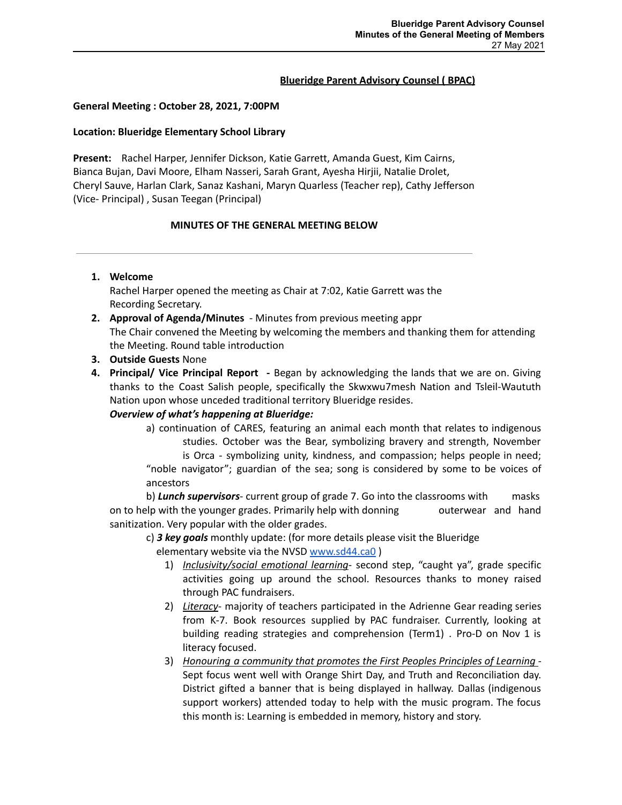#### **Blueridge Parent Advisory Counsel ( BPAC)**

#### **General Meeting : October 28, 2021, 7:00PM**

#### **Location: Blueridge Elementary School Library**

**Present:** Rachel Harper, Jennifer Dickson, Katie Garrett, Amanda Guest, Kim Cairns, Bianca Bujan, Davi Moore, Elham Nasseri, Sarah Grant, Ayesha Hirjii, Natalie Drolet, Cheryl Sauve, Harlan Clark, Sanaz Kashani, Maryn Quarless (Teacher rep), Cathy Jefferson (Vice- Principal) , Susan Teegan (Principal)

### **MINUTES OF THE GENERAL MEETING BELOW**

#### **1. Welcome**

Rachel Harper opened the meeting as Chair at 7:02, Katie Garrett was the Recording Secretary.

- **2. Approval of Agenda/Minutes** Minutes from previous meeting appr The Chair convened the Meeting by welcoming the members and thanking them for attending the Meeting. Round table introduction
- **3. Outside Guests** None
- **4. Principal/ Vice Principal Report -** Began by acknowledging the lands that we are on. Giving thanks to the Coast Salish people, specifically the Skwxwu7mesh Nation and Tsleil-Waututh Nation upon whose unceded traditional territory Blueridge resides.

# *Overview of what's happening at Blueridge:*

a) continuation of CARES, featuring an animal each month that relates to indigenous studies. October was the Bear, symbolizing bravery and strength, November is Orca - symbolizing unity, kindness, and compassion; helps people in need; "noble navigator"; guardian of the sea; song is considered by some to be voices of ancestors

b) *Lunch supervisors*- current group of grade 7. Go into the classrooms with masks on to help with the younger grades. Primarily help with donning outerwear and hand sanitization. Very popular with the older grades.

c) *3 key goals* monthly update: (for more details please visit the Blueridge

elementary website via the NVSD [www.sd44.ca0](http://www.sd44.ca0) )

- 1) *Inclusivity/social emotional learning* second step, "caught ya", grade specific activities going up around the school. Resources thanks to money raised through PAC fundraisers.
- 2) *Literacy* majority of teachers participated in the Adrienne Gear reading series from K-7. Book resources supplied by PAC fundraiser. Currently, looking at building reading strategies and comprehension (Term1) . Pro-D on Nov 1 is literacy focused.
- 3) *Honouring a community that promotes the First Peoples Principles of Learning* Sept focus went well with Orange Shirt Day, and Truth and Reconciliation day. District gifted a banner that is being displayed in hallway. Dallas (indigenous support workers) attended today to help with the music program. The focus this month is: Learning is embedded in memory, history and story.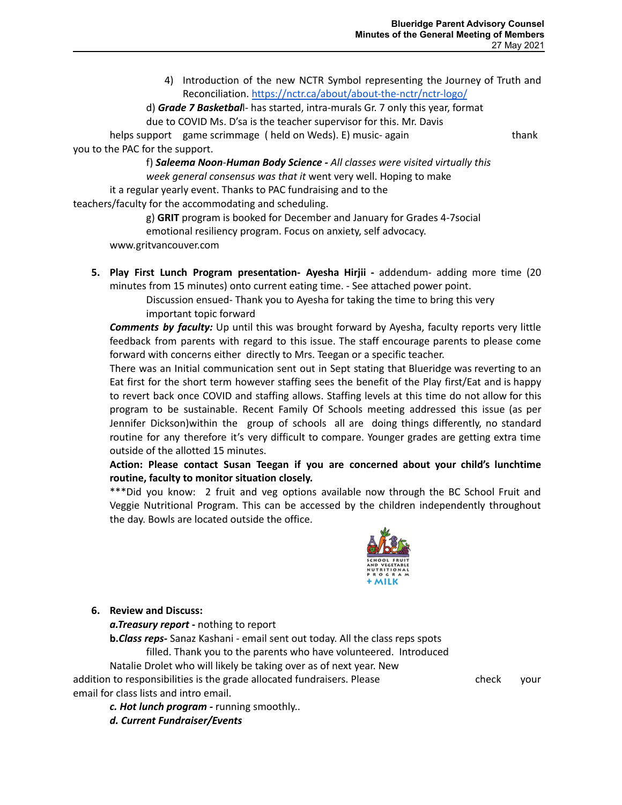4) Introduction of the new NCTR Symbol representing the Journey of Truth and Reconciliation. <https://nctr.ca/about/about-the-nctr/nctr-logo/>

d) *Grade 7 Basketbal*l- has started, intra-murals Gr. 7 only this year, format due to COVID Ms. D'sa is the teacher supervisor for this. Mr. Davis

helps support game scrimmage ( held on Weds). E) music- again thank you to the PAC for the support.

f) *Saleema Noon*-*Human Body Science - All classes were visited virtually this week general consensus was that it* went very well. Hoping to make it a regular yearly event. Thanks to PAC fundraising and to the

teachers/faculty for the accommodating and scheduling.

g) **GRIT** program is booked for December and January for Grades 4-7social

emotional resiliency program. Focus on anxiety, self advocacy.

www.gritvancouver.com

**5. Play First Lunch Program presentation- Ayesha Hirjii -** addendum- adding more time (20 minutes from 15 minutes) onto current eating time. - See attached power point.

> Discussion ensued- Thank you to Ayesha for taking the time to bring this very important topic forward

*Comments by faculty:* Up until this was brought forward by Ayesha, faculty reports very little feedback from parents with regard to this issue. The staff encourage parents to please come forward with concerns either directly to Mrs. Teegan or a specific teacher.

There was an Initial communication sent out in Sept stating that Blueridge was reverting to an Eat first for the short term however staffing sees the benefit of the Play first/Eat and is happy to revert back once COVID and staffing allows. Staffing levels at this time do not allow for this program to be sustainable. Recent Family Of Schools meeting addressed this issue (as per Jennifer Dickson)within the group of schools all are doing things differently, no standard routine for any therefore it's very difficult to compare. Younger grades are getting extra time outside of the allotted 15 minutes.

# **Action: Please contact Susan Teegan if you are concerned about your child's lunchtime routine, faculty to monitor situation closely.**

\*\*\*Did you know: 2 fruit and veg options available now through the BC School Fruit and Veggie Nutritional Program. This can be accessed by the children independently throughout the day. Bowls are located outside the office.



# **6. Review and Discuss:**

*a.Treasury report* **-** nothing to report

**b.***Class reps-* Sanaz Kashani - email sent out today. All the class reps spots filled. Thank you to the parents who have volunteered. Introduced Natalie Drolet who will likely be taking over as of next year. New

addition to responsibilities is the grade allocated fundraisers. Please check your email for class lists and intro email.

*c. Hot lunch program -* running smoothly..

*d. Current Fundraiser/Events*